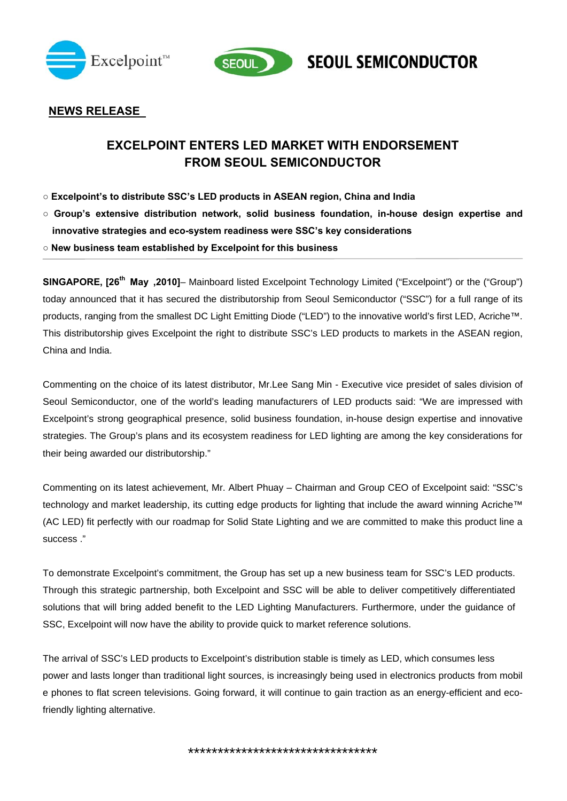



**SEOUL SEMICONDUCTOR** 

## **NEWS RELEASE**

# **EXCELPOINT ENTERS LED MARKET WITH ENDORSEMENT FROM SEOUL SEMICONDUCTOR**

- **○ Excelpoint's to distribute SSC's LED products in ASEAN region, China and India**
- **○ Group's extensive distribution network, solid business foundation, in-house design expertise and innovative strategies and eco-system readiness were SSC's key considerations**
- **○ New business team established by Excelpoint for this business**

**SINGAPORE, [26th May ,2010]**– Mainboard listed Excelpoint Technology Limited ("Excelpoint") or the ("Group") today announced that it has secured the distributorship from Seoul Semiconductor ("SSC") for a full range of its products, ranging from the smallest DC Light Emitting Diode ("LED") to the innovative world's first LED, Acriche™. This distributorship gives Excelpoint the right to distribute SSC's LED products to markets in the ASEAN region, China and India.

Commenting on the choice of its latest distributor, Mr.Lee Sang Min - Executive vice presidet of sales division of Seoul Semiconductor, one of the world's leading manufacturers of LED products said: "We are impressed with Excelpoint's strong geographical presence, solid business foundation, in-house design expertise and innovative strategies. The Group's plans and its ecosystem readiness for LED lighting are among the key considerations for their being awarded our distributorship."

Commenting on its latest achievement, Mr. Albert Phuay – Chairman and Group CEO of Excelpoint said: "SSC's technology and market leadership, its cutting edge products for lighting that include the award winning Acriche™ (AC LED) fit perfectly with our roadmap for Solid State Lighting and we are committed to make this product line a success ."

To demonstrate Excelpoint's commitment, the Group has set up a new business team for SSC's LED products. Through this strategic partnership, both Excelpoint and SSC will be able to deliver competitively differentiated solutions that will bring added benefit to the LED Lighting Manufacturers. Furthermore, under the guidance of SSC, Excelpoint will now have the ability to provide quick to market reference solutions.

The arrival of SSC's LED products to Excelpoint's distribution stable is timely as LED, which consumes less power and lasts longer than traditional light sources, is increasingly being used in electronics products from mobil e phones to flat screen televisions. Going forward, it will continue to gain traction as an energy-efficient and ecofriendly lighting alternative.